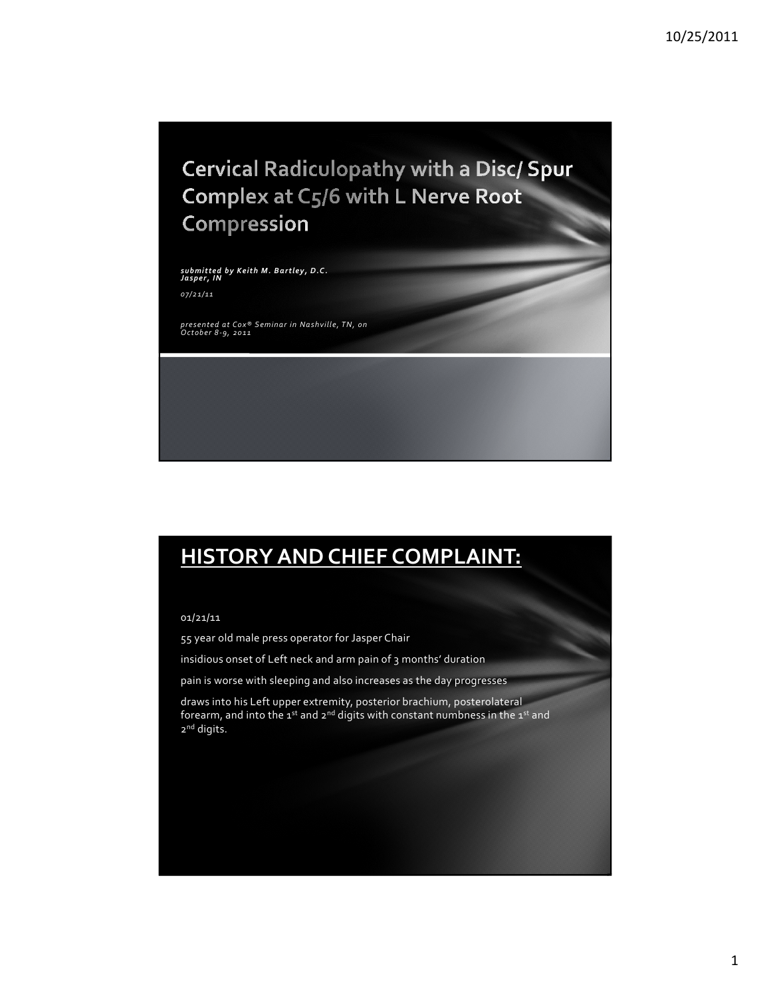# **Cervical Radiculopathy with a Disc/Spur** Complex at C5/6 with L Nerve Root Compression

*submitted by Keith M . Bartley, D.C. Jasper, IN 07/21/11*

*presented a t Cox® Seminar in Nashville, TN, on October <sup>8</sup>‐9, <sup>2011</sup>*

### **HISTORYANDCHIEF COMPLAINT:**

#### 01/21/11

55 year old male press operator for Jasper Chair

insidious onset of Left neck and arm pain of 3 months' duration

pain is worse with sleeping and also increases as the day progresses

draws into his Left upper extremity, posterior brachium, posterolateral forearm, and into the  $1^{st}$  and  $2^{nd}$  digits with constant numbness in the  $1^{st}$  and 2<sup>nd</sup> digits.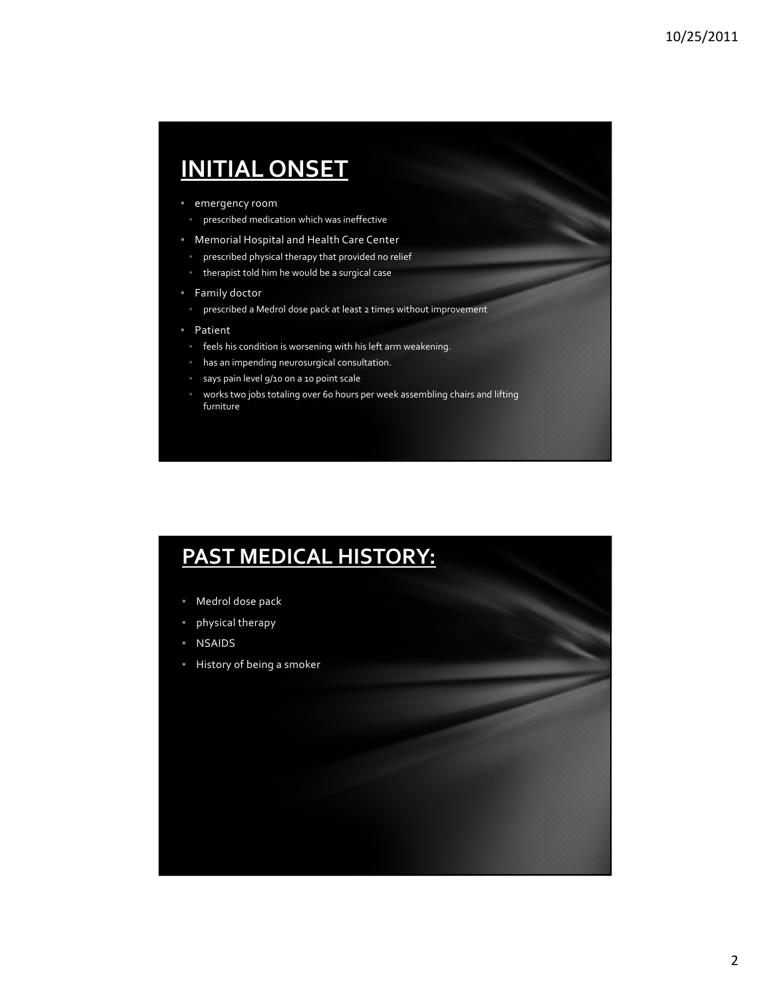# **INITIAL ONSET**

- emergency room
	- prescribed medication which was ineffective
- Memorial Hospital and Health Care Center
	- prescribed physical therapy that provided no relief
	- therapist told him he would be a surgical case
- Family doctor
	- prescribed a Medrol dose pack at least 2 times without improvement
- Patient
	- feels his condition is worsening with his left arm weakening.
	- has an impending neurosurgical consultation.
	- says pain level 9/10 on a 10 point scale
	- works two jobs totaling over 60 hours per week assembling chairs and lifting furniture

### **PAST MEDICAL HISTORY:**

- Medrol dose pack
- physical therapy
- NSAIDS
- History of being a smoker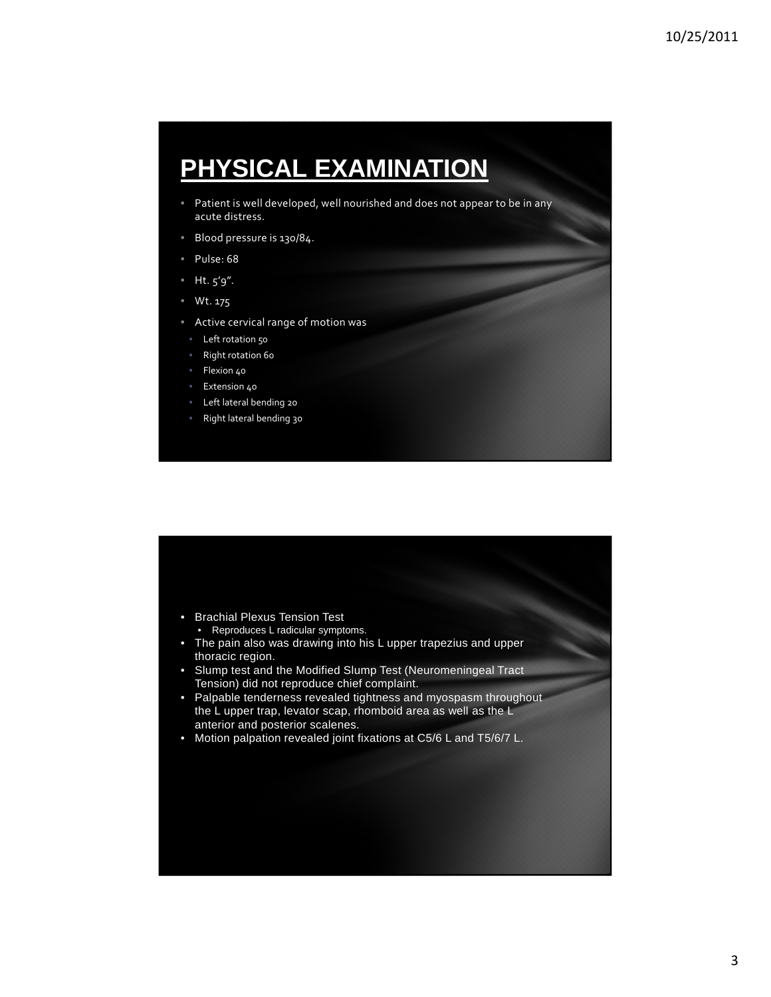# **PHYSICAL EXAMINATION**

- Patient is well developed, well nourished and does not appear to be in any acute distress.
- Blood pressure is 130/84.
- Pulse: 68
- Ht. 5'9".
- Wt. 175
- Active cervical range of motion was
- Left rotation 50
- Right rotation 60
- Flexion 40
- Extension 40
- Left lateral bending 20
- Right lateral bending 30

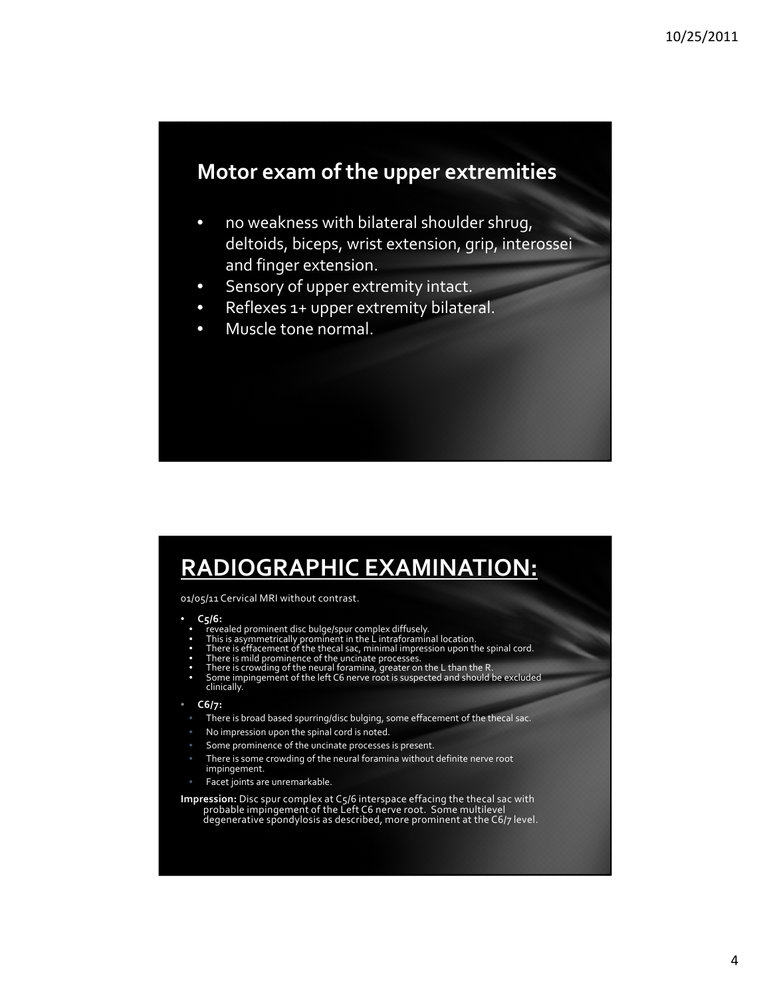### **Motor exam of the upper extremities**

- no weakness with bilateral shoulder shrug, deltoids, biceps, wrist extension, grip, interossei and finger extension.
- Sensory of upper extremity intact.
- Reflexes 1+ upper extremity bilateral.
- Muscle tone normal.

# **RADIOGRAPHIC EXAMINATION:**

01/05/11 Cervical MRI without contrast.

#### • **C5/6:**

- 
- 
- 
- 
- This is asymmetrically prominent in the L intraforaminal location.<br>
This is asymmetrically prominent in the L intraforaminal location.<br>
There is effacement of the thecal sac, minimal impression upon the spinal cord.<br>

#### • **C6/7:**

- There is broad based spurring/disc bulging, some effacement of the thecal sac.
- No impression upon the spinal cord is noted.
- Some prominence of the uncinate processes is present.
- There is some crowding of the neural foramina without definite nerve root impingement.
- Facet joints are unremarkable.

**Impression:** Disc spur complex at C5/6 interspace effacing the thecal sac with probable impingement of the Left C6 nerve root. Some multilevel degenerative spondylosis as described, more prominent at the C6/7 level.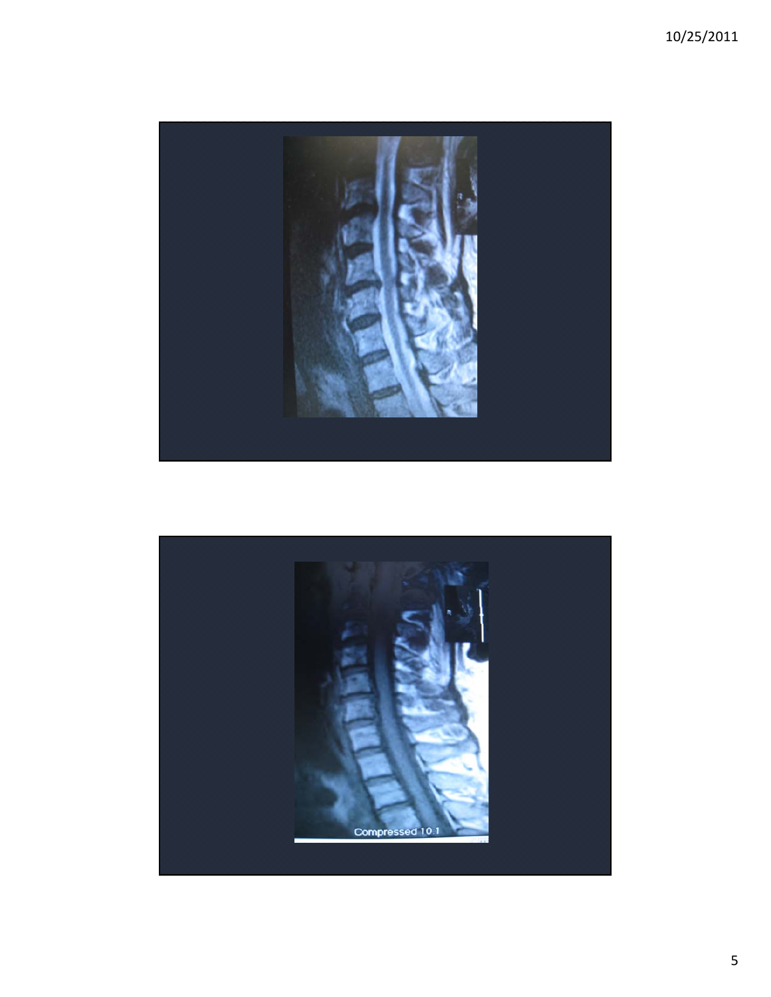

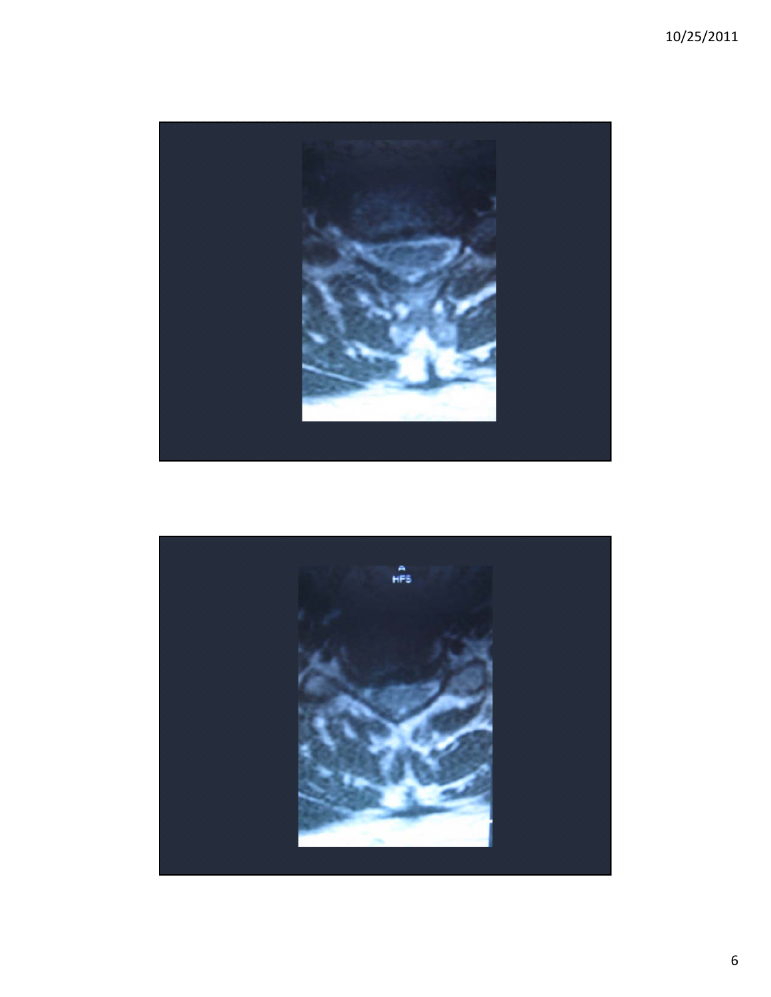

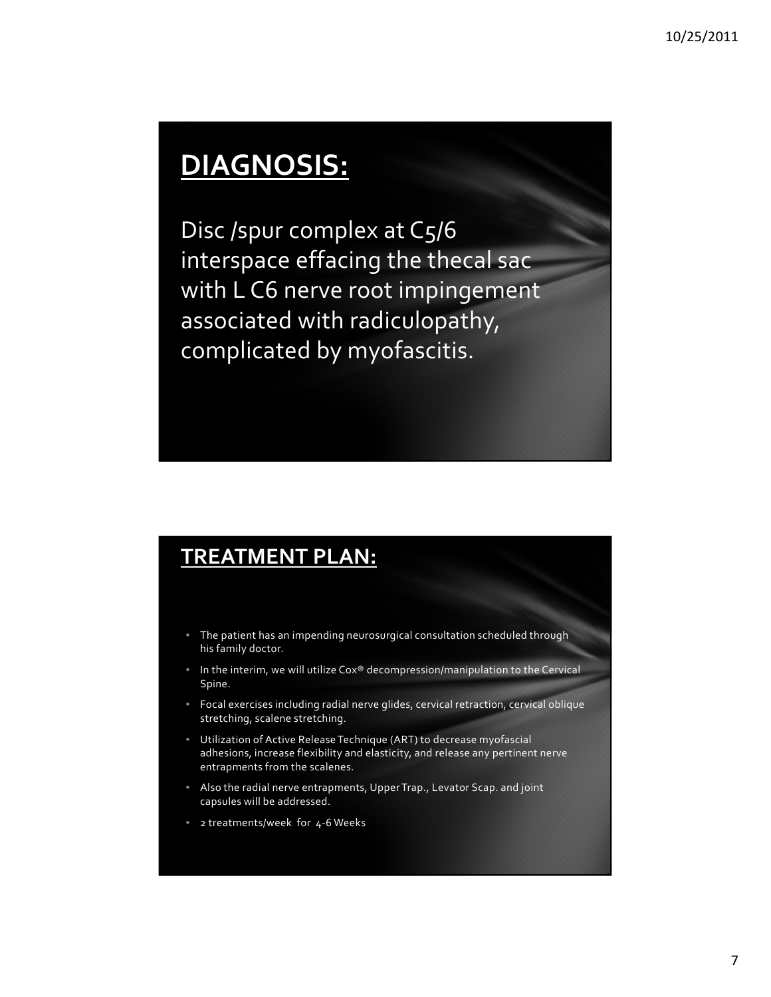# **DIAGNOSIS:**

Disc /spur complex at C5/6 interspace effacing the thecal sac with L C6 nerve root impingement associated with radiculopathy, complicated by myofascitis.

### **TREATMENT PLAN:**

- The patient has an impending neurosurgical consultation scheduled through his family doctor.
- In the interim, we will utilize Cox® decompression/manipulation to the Cervical Spine.
- Focal exercises including radial nerve glides, cervical retraction, cervical oblique stretching, scalene stretching.
- Utilization of Active Release Technique (ART) to decrease myofascial adhesions, increase flexibility and elasticity, and release any pertinent nerve entrapments from the scalenes.
- Also the radial nerve entrapments, Upper Trap., Levator Scap. and joint capsules will be addressed.
- 2 treatments/week for 4-6 Weeks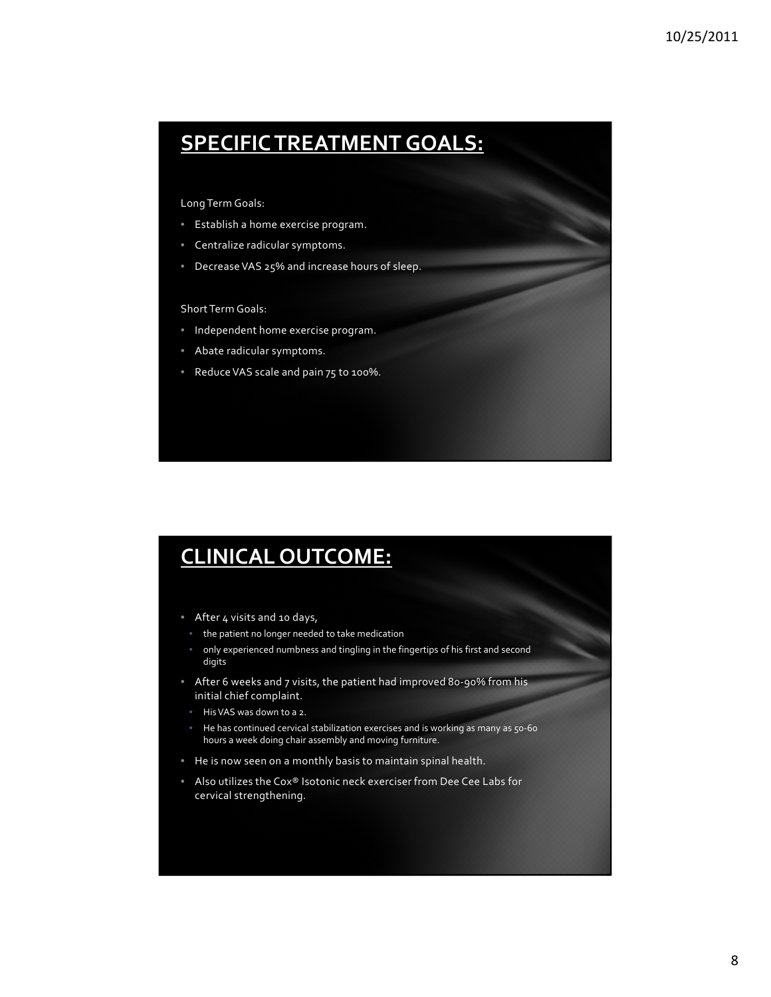### **SPECIFICTREATMENT GOALS:**

#### Long Term Goals:

- Establish a home exercise program.
- Centralize radicular symptoms.
- DecreaseVAS 25% and increase hours of sleep.

#### Short Term Goals:

- Independent home exercise program.
- Abate radicular symptoms.
- ReduceVAS scale and pain 75 to 100%.

### **CLINICAL OUTCOME:**

- After 4 visits and 10 days,
	- the patient no longer needed to take medication
	- only experienced numbness and tingling in the fingertips of his first and second digits
- After 6 weeks and 7 visits, the patient had improved 80-90% from his initial chief complaint.
	- HisVAS was down to a 2.
	- He has continued cervical stabilization exercises and is working as many as 50‐60 hours a week doing chair assembly and moving furniture.
- He is now seen on a monthly basis to maintain spinal health.
- Also utilizes the Cox® Isotonic neck exerciser from Dee Cee Labs for cervical strengthening.